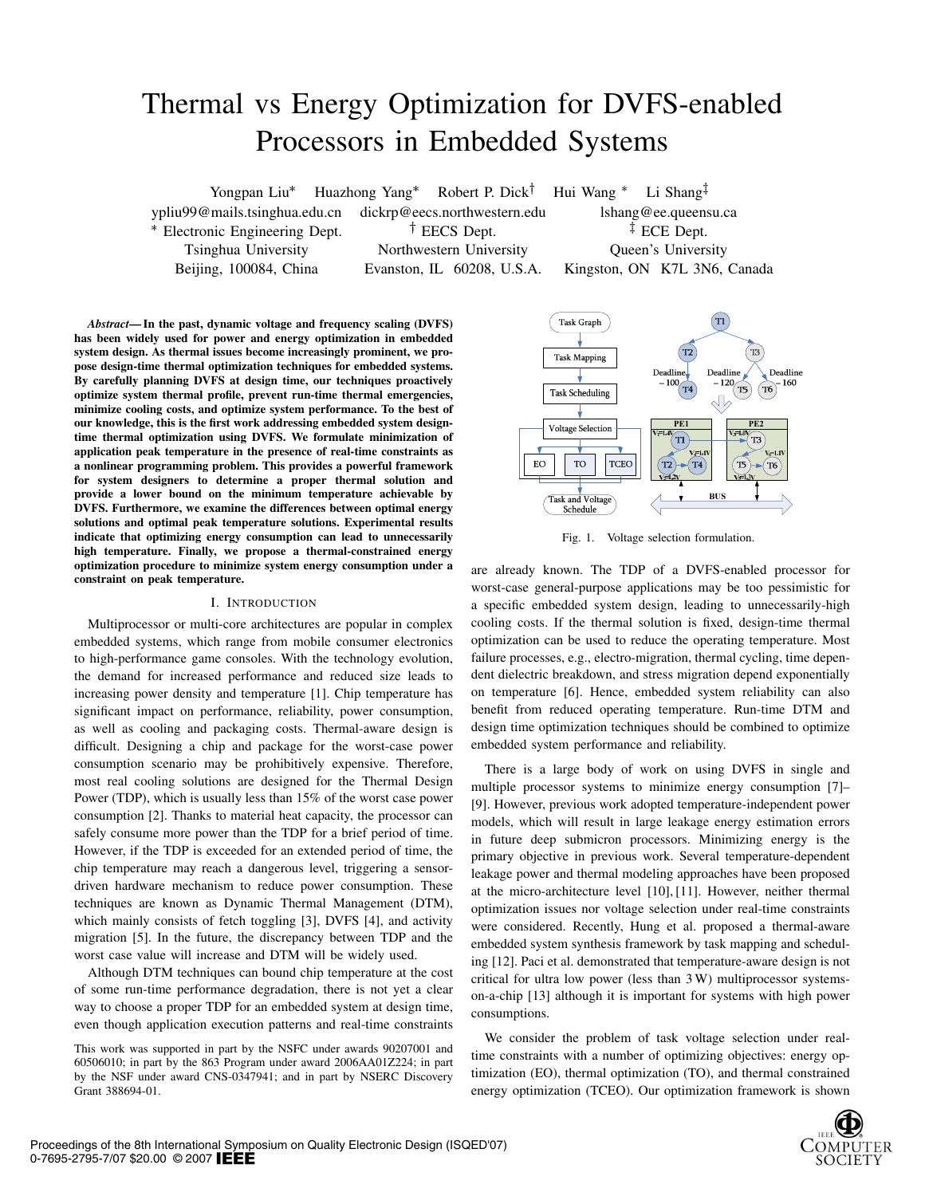# Thermal vs Energy Optimization for DVFS-enabled Processors in Embedded Systems

Yongpan Liu\* Huazhong Yang\* Robert P. Dick<sup>†</sup> Hui Wang \* Li Shang<sup>‡</sup> ypliu99@mails.tsinghua.edu.cn dickrp@eecs.northwestern.edu lshang@ee.queensu.ca \* Electronic Engineering Dept.  $\qquad \qquad$  † EECS Dept.  $\qquad \qquad$   $\qquad \qquad$  ECE Dept. Tsinghua University Northwestern University Queen's University

Beijing, 100084, China Evanston, IL 60208, U.S.A. Kingston, ON K7L 3N6, Canada

*Abstract*— In the past, dynamic voltage and frequency scaling (DVFS) has been widely used for power and energy optimization in embedded system design. As thermal issues become increasingly prominent, we propose design-time thermal optimization techniques for embedded systems. By carefully planning DVFS at design time, our techniques proactively optimize system thermal profile, prevent run-time thermal emergencies, minimize cooling costs, and optimize system performance. To the best of our knowledge, this is the first work addressing embedded system designtime thermal optimization using DVFS. We formulate minimization of application peak temperature in the presence of real-time constraints as a nonlinear programming problem. This provides a powerful framework for system designers to determine a proper thermal solution and provide a lower bound on the minimum temperature achievable by DVFS. Furthermore, we examine the differences between optimal energy solutions and optimal peak temperature solutions. Experimental results indicate that optimizing energy consumption can lead to unnecessarily high temperature. Finally, we propose a thermal-constrained energy optimization procedure to minimize system energy consumption under a constraint on peak temperature.

# I. INTRODUCTION

Multiprocessor or multi-core architectures are popular in complex embedded systems, which range from mobile consumer electronics to high-performance game consoles. With the technology evolution, the demand for increased performance and reduced size leads to increasing power density and temperature [1]. Chip temperature has significant impact on performance, reliability, power consumption, as well as cooling and packaging costs. Thermal-aware design is difficult. Designing a chip and package for the worst-case power consumption scenario may be prohibitively expensive. Therefore, most real cooling solutions are designed for the Thermal Design Power (TDP), which is usually less than 15% of the worst case power consumption [2]. Thanks to material heat capacity, the processor can safely consume more power than the TDP for a brief period of time. However, if the TDP is exceeded for an extended period of time, the chip temperature may reach a dangerous level, triggering a sensordriven hardware mechanism to reduce power consumption. These techniques are known as Dynamic Thermal Management (DTM), which mainly consists of fetch toggling [3], DVFS [4], and activity migration [5]. In the future, the discrepancy between TDP and the worst case value will increase and DTM will be widely used.

Although DTM techniques can bound chip temperature at the cost of some run-time performance degradation, there is not yet a clear way to choose a proper TDP for an embedded system at design time, even though application execution patterns and real-time constraints

This work was supported in part by the NSFC under awards 90207001 and 60506010; in part by the 863 Program under award 2006AA01Z224; in part by the NSF under award CNS-0347941; and in part by NSERC Discovery Grant 388694-01.



Fig. 1. Voltage selection formulation.

are already known. The TDP of a DVFS-enabled processor for worst-case general-purpose applications may be too pessimistic for a specific embedded system design, leading to unnecessarily-high cooling costs. If the thermal solution is fixed, design-time thermal optimization can be used to reduce the operating temperature. Most failure processes, e.g., electro-migration, thermal cycling, time dependent dielectric breakdown, and stress migration depend exponentially on temperature [6]. Hence, embedded system reliability can also benefit from reduced operating temperature. Run-time DTM and design time optimization techniques should be combined to optimize embedded system performance and reliability.

There is a large body of work on using DVFS in single and multiple processor systems to minimize energy consumption [7]– [9]. However, previous work adopted temperature-independent power models, which will result in large leakage energy estimation errors in future deep submicron processors. Minimizing energy is the primary objective in previous work. Several temperature-dependent leakage power and thermal modeling approaches have been proposed at the micro-architecture level [10], [11]. However, neither thermal optimization issues nor voltage selection under real-time constraints were considered. Recently, Hung et al. proposed a thermal-aware embedded system synthesis framework by task mapping and scheduling [12]. Paci et al. demonstrated that temperature-aware design is not critical for ultra low power (less than 3 W) multiprocessor systemson-a-chip [13] although it is important for systems with high power consumptions.

We consider the problem of task voltage selection under realtime constraints with a number of optimizing objectives: energy optimization (EO), thermal optimization (TO), and thermal constrained energy optimization (TCEO). Our optimization framework is shown

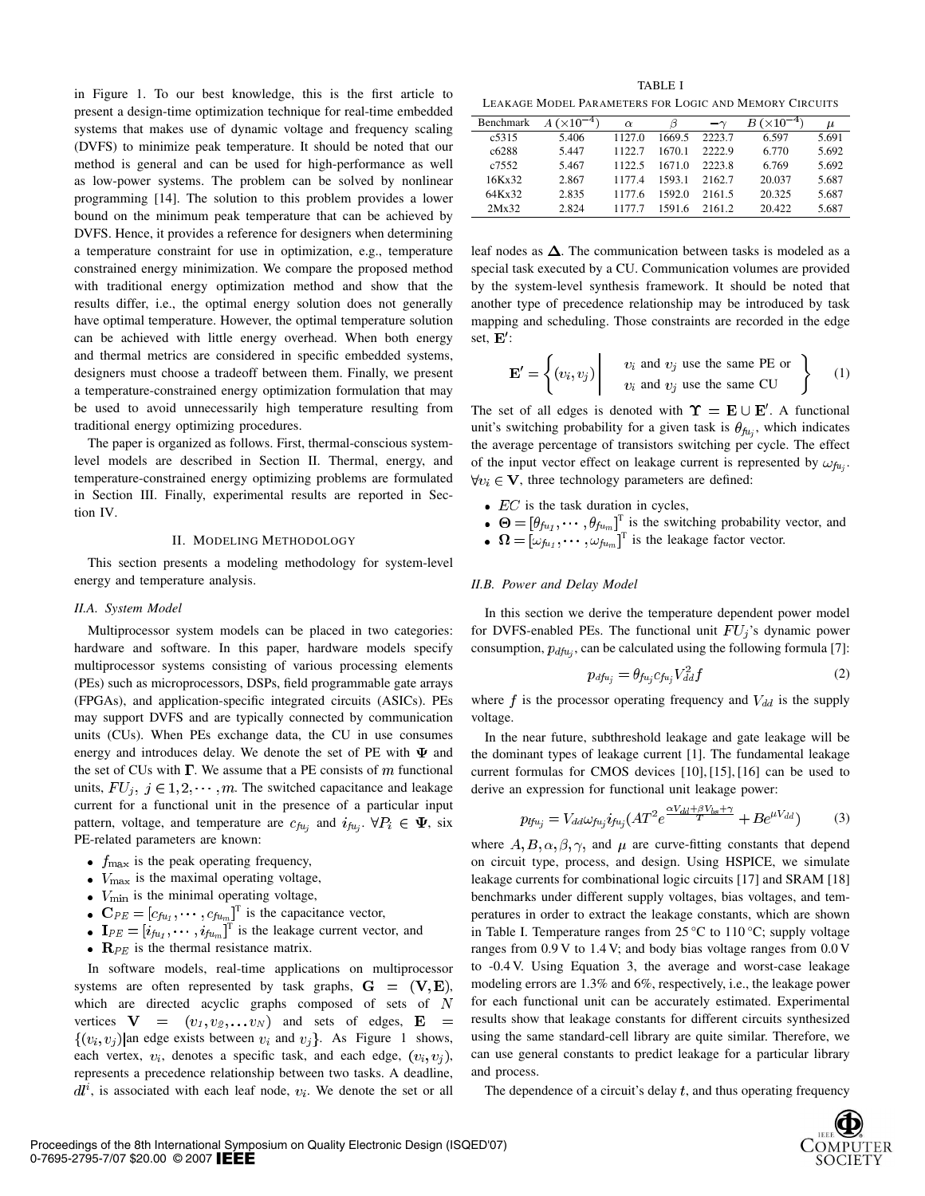in Figure 1. To our best knowledge, this is the first article to present a design-time optimization technique for real-time embedded systems that makes use of dynamic voltage and frequency scaling (DVFS) to minimize peak temperature. It should be noted that our method is general and can be used for high-performance as well as low-power systems. The problem can be solved by nonlinear programming [14]. The solution to this problem provides a lower bound on the minimum peak temperature that can be achieved by DVFS. Hence, it provides a reference for designers when determining a temperature constraint for use in optimization, e.g., temperature constrained energy minimization. We compare the proposed method with traditional energy optimization method and show that the results differ, i.e., the optimal energy solution does not generally have optimal temperature. However, the optimal temperature solution can be achieved with little energy overhead. When both energy and thermal metrics are considered in specific embedded systems, designers must choose a tradeoff between them. Finally, we present a temperature-constrained energy optimization formulation that may be used to avoid unnecessarily high temperature resulting from traditional energy optimizing procedures.

The paper is organized as follows. First, thermal-conscious systemlevel models are described in Section II. Thermal, energy, and temperature-constrained energy optimizing problems are formulated in Section III. Finally, experimental results are reported in Section IV.

#### II. MODELING METHODOLOGY

This section presents a modeling methodology for system-level energy and temperature analysis.

#### *II.A. System Model*

Multiprocessor system models can be placed in two categories: hardware and software. In this paper, hardware models specify multiprocessor systems consisting of various processing elements (PEs) such as microprocessors, DSPs, field programmable gate arrays (FPGAs), and application-specific integrated circuits (ASICs). PEs may support DVFS and are typically connected by communication units (CUs). When PEs exchange data, the CU in use consumes energy and introduces delay. We denote the set of PE with  $\Psi$  and the set of CUs with  $\Gamma$ . We assume that a PE consists of  $m$  functional units,  $FU_j$ ,  $j \in 1, 2, \dots, m$ . The switched capacitance and leakage current for a functional unit in the presence of a particular input pattern, voltage, and temperature are  $c_{fu_i}$  and  $i_{fu_i}$ .  $\forall P_i \in \Psi$ , six PE-related parameters are known:

- $f_{\text{max}}$  is the peak operating frequency,
- $\bullet$   $V_{\text{max}}$  is the maximal operating voltage,
- $\bullet$   $V_{\text{min}}$  is the minimal operating voltage,
- 
- $\prod_{\text{I}}^{\text{T}}$  is the capacitance vector, and  $\prod_{\text{I}}^{\text{T}}$  is the leakage current vector, and
- $\mathbf{R}_{PE}$  is the thermal resistance matrix.

In software models, real-time applications on multiprocessor systems are often represented by task graphs,  $G = (V, E)$ , which are directed acyclic graphs composed of sets of  $N$ vertices  $\mathbf{V} = (v_1, v_2, \dots v_N)$  and sets of edges, **E**  $\{(v_i, v_j)$  an edge exists between  $v_i$  and  $v_j$ . As Figure 1 shows, each vertex,  $v_i$ , denotes a specific task, and each edge,  $(v_i, v_j)$ , represents a precedence relationship between two tasks. A deadline,  $dl^i$ , is associated with each leaf node,  $v_i$ . We denote the set or all

TABLE I LEAKAGE MODEL PARAMETERS FOR LOGIC AND MEMORY CIRCUITS

| Benchmark         | $^{\prime}\times10^{-4}$ . | $\alpha$ | 13     | $-\gamma$ | $\cdot$ (×10 <sup>-4</sup> )<br>В | μ     |
|-------------------|----------------------------|----------|--------|-----------|-----------------------------------|-------|
| c <sub>5315</sub> | 5.406                      | 1127.0   | 1669.5 | 2223.7    | 6.597                             | 5.691 |
| c6288             | 5.447                      | 1122.7   | 1670-1 | 2222.9    | 6.770                             | 5.692 |
| c7552             | 5.467                      | 1122.5   | 1671.0 | 2223.8    | 6.769                             | 5.692 |
| 16Kx32            | 2.867                      | 11774    | 1593.1 | 2162.7    | 20.037                            | 5.687 |
| 64Kx32            | 2.835                      | 1177.6   | 1592.0 | 2161.5    | 20.325                            | 5.687 |
| 2Mx32             | 2.824                      |          | 1591.6 | 21612     | 20.422                            | 5.687 |

leaf nodes as  $\Delta$ . The communication between tasks is modeled as a special task executed by a CU. Communication volumes are provided by the system-level synthesis framework. It should be noted that another type of precedence relationship may be introduced by task mapping and scheduling. Those constraints are recorded in the edge set,  $E'$ :

$$
\mathbf{E}' = \left\{ (v_i, v_j) \middle| \quad v_i \text{ and } v_j \text{ use the same PE or} \quad v_i \text{ and } v_j \text{ use the same CU} \quad (1)
$$

The set of all edges is denoted with  $\Upsilon = E \cup E'$ . A functional unit's switching probability for a given task is  $\theta_{f u_i}$ , which indicates the average percentage of transistors switching per cycle. The effect of the input vector effect on leakage current is represented by  $\omega_{fu}$ .  $\forall v_i \in \mathbf{V}$ , three technology parameters are defined:

- $\bullet$  *EC* is the task duration in cycles,
- <sup>T</sup> is the switching probability vector, and  $\int_1^T$  is the leakage factor vector.
- 

#### *II.B. Power and Delay Model*

In this section we derive the temperature dependent power model for DVFS-enabled PEs. The functional unit  $FU_j$ 's dynamic power consumption,  $p_{dfu_i}$ , can be calculated using the following formula [7]:

$$
p_{dfa_j} = \theta_{fu_j} c_{fu_j} V_{dd}^2 f \tag{2}
$$

where f is the processor operating frequency and  $V_{dd}$  is the supply voltage.

In the near future, subthreshold leakage and gate leakage will be the dominant types of leakage current [1]. The fundamental leakage current formulas for CMOS devices [10], [15], [16] can be used to derive an expression for functional unit leakage power:

$$
p_{\ell l u_j} = V_{dd} \omega_{\ell u_j} i_{\ell u_j} (AT^2 e^{\frac{\alpha V_{dd} + \beta V_{bs} + \gamma}{T}} + B e^{\mu V_{dd}})
$$
(3)

where  $A, B, \alpha, \beta, \gamma$ , and  $\mu$  are curve-fitting constants that depend on circuit type, process, and design. Using HSPICE, we simulate leakage currents for combinational logic circuits [17] and SRAM [18] benchmarks under different supply voltages, bias voltages, and temperatures in order to extract the leakage constants, which are shown in Table I. Temperature ranges from  $25^{\circ}$ C to  $110^{\circ}$ C; supply voltage ranges from 0.9 V to 1.4 V; and body bias voltage ranges from 0.0 V to -0.4 V. Using Equation 3, the average and worst-case leakage modeling errors are 1.3% and 6%, respectively, i.e., the leakage power for each functional unit can be accurately estimated. Experimental results show that leakage constants for different circuits synthesized using the same standard-cell library are quite similar. Therefore, we can use general constants to predict leakage for a particular library and process.

The dependence of a circuit's delay  $t$ , and thus operating frequency

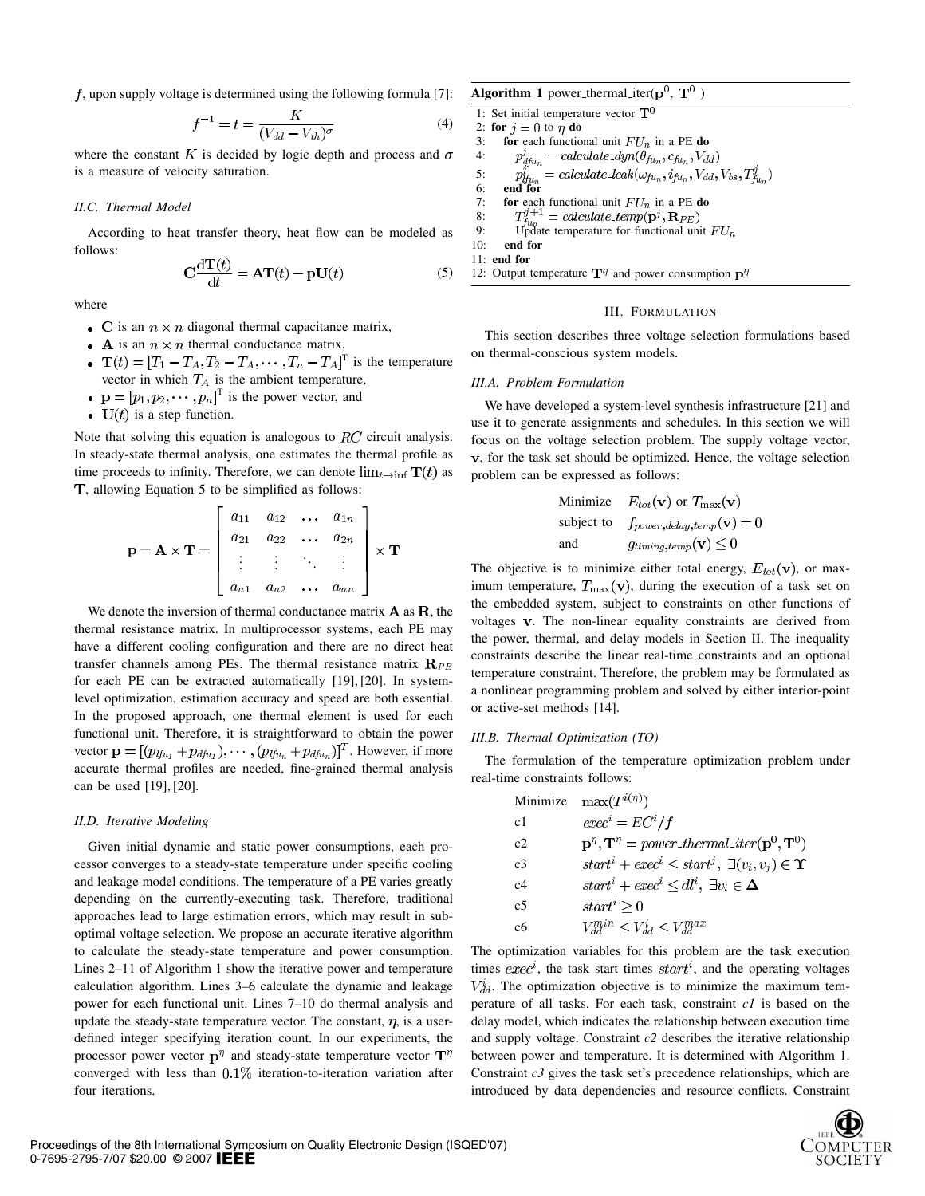$f$ , upon supply voltage is determined using the following formula [7]:

$$
f^{-1} = t = \frac{K}{(V_{dd} - V_{th})^{\sigma}}
$$
(4)

where the constant K is decided by logic depth and process and  $\sigma$ is a measure of velocity saturation.

# *II.C. Thermal Model*

According to heat transfer theory, heat flow can be modeled as follows:

$$
C\frac{d\mathbf{T}(t)}{dt} = \mathbf{A}\mathbf{T}(t) - \mathbf{p}\mathbf{U}(t)
$$
 (5)

where

- C is an  $n \times n$  diagonal thermal capacitance matrix,
- A is an  $n \times n$  thermal conductance matrix,
- $T$  is the temperature vector in which  $T_A$  is the ambient temperature,
- $T$  is the power vector, and
- $U(t)$  is a step function.

Note that solving this equation is analogous to  $RC$  circuit analysis. In steady-state thermal analysis, one estimates the thermal profile as time proceeds to infinity. Therefore, we can denote  $\lim_{t\to\inf} T(t)$  as T, allowing Equation 5 to be simplified as follows:

$$
\mathbf{p} = \mathbf{A} \times \mathbf{T} = \begin{bmatrix} a_{11} & a_{12} & \dots & a_{1n} \\ a_{21} & a_{22} & \dots & a_{2n} \\ \vdots & \vdots & \ddots & \vdots \\ a_{n1} & a_{n2} & \dots & a_{nn} \end{bmatrix} \times \mathbf{T}
$$

We denote the inversion of thermal conductance matrix  $A$  as  $R$ , the thermal resistance matrix. In multiprocessor systems, each PE may have a different cooling configuration and there are no direct heat transfer channels among PEs. The thermal resistance matrix  $\mathbf{R}_{PE}$ for each PE can be extracted automatically [19], [20]. In systemlevel optimization, estimation accuracy and speed are both essential. In the proposed approach, one thermal element is used for each functional unit. Therefore, it is straightforward to obtain the power vector  $\mathbf{p} = [(p_{lru_1} + p_{dru_1}), \cdots, (p_{lru_n} + p_{dru_n})]^T$ . However, if more accurate thermal profiles are needed, fine-grained thermal analysis can be used [19], [20].

## *II.D. Iterative Modeling*

Given initial dynamic and static power consumptions, each processor converges to a steady-state temperature under specific cooling and leakage model conditions. The temperature of a PE varies greatly depending on the currently-executing task. Therefore, traditional approaches lead to large estimation errors, which may result in suboptimal voltage selection. We propose an accurate iterative algorithm to calculate the steady-state temperature and power consumption. Lines 2–11 of Algorithm 1 show the iterative power and temperature calculation algorithm. Lines 3–6 calculate the dynamic and leakage power for each functional unit. Lines 7–10 do thermal analysis and update the steady-state temperature vector. The constant,  $\eta$ , is a userdefined integer specifying iteration count. In our experiments, the processor power vector  $p^{\eta}$  and steady-state temperature vector  $T^{\eta}$ converged with less than  $0.1\%$  iteration-to-iteration variation after four iterations.

Algorithm 1 power thermal iter( $p^0$ ,  $T^0$ )

1: Set initial temperature vector  $T^0$ 2: for  $i = 0$  to  $\eta$  do 3: **for** each functional unit  $FU_n$  in a PE **do**<br>4:  $p_{dfu_n}^j = calculate\_dyn(\theta_{fu_n}, c_{fu_n}, V_{dd})$ 4: 5: 5:  $p_{\hat{t}_{\mu_n}}^j = \text{calculate\_leak}(\omega_{\text{f}u_n}, i_{\text{f}u_n}, V_{dd}, V_{bs}, T_{\text{f}u_n}^j)$ <br>6: end for 7: **for** each functional unit  $FU_n$  in a PE do<br>8:  $T_{fu_n}^{j+1} = calculate\_temp(\mathbf{p}^j, \mathbf{R}_{PE})$ 8: 9: Update temperature for functional unit  $FU_n$ 10: end for 11: end for 12: Output temperature  $\mathbf{T}^{\eta}$  and power consumption  $\mathbf{p}^{\eta}$ 

#### III. FORMULATION

This section describes three voltage selection formulations based on thermal-conscious system models.

#### *III.A. Problem Formulation*

We have developed a system-level synthesis infrastructure [21] and use it to generate assignments and schedules. In this section we will focus on the voltage selection problem. The supply voltage vector, , for the task set should be optimized. Hence, the voltage selection problem can be expressed as follows:

Minimize 
$$
E_{tot}(\mathbf{v})
$$
 or  $T_{\text{max}}(\mathbf{v})$   
subject to  $f_{power, delay, temp}(\mathbf{v}) = 0$   
and  $g_{timing, temp}(\mathbf{v}) \leq 0$ 

The objective is to minimize either total energy,  $E_{tot}(v)$ , or maximum temperature,  $T_{\text{max}}(\mathbf{v})$ , during the execution of a task set on the embedded system, subject to constraints on other functions of voltages v. The non-linear equality constraints are derived from the power, thermal, and delay models in Section II. The inequality constraints describe the linear real-time constraints and an optional temperature constraint. Therefore, the problem may be formulated as a nonlinear programming problem and solved by either interior-point or active-set methods [14].

## *III.B. Thermal Optimization (TO)*

The formulation of the temperature optimization problem under real-time constraints follows:

|                | Minimize $\max(T^{i(\eta)})$                                                                              |
|----------------|-----------------------------------------------------------------------------------------------------------|
| c1             | $exec^i = EC^i/f$                                                                                         |
| c2             | $\mathbf{p}^{\eta}, \mathbf{T}^{\eta} = power\text{-}thermal\text{-}iter(\mathbf{p}^{0}, \mathbf{T}^{0})$ |
| c <sup>3</sup> | $start^{i} + exec^{i} \leq start^{j}, \ \exists (v_i, v_j) \in \Upsilon$                                  |
| c4             | $start^i + exec^i \leq dl^i, \ \exists v_i \in \Delta$                                                    |
| c <sub>5</sub> | $start^i \geq 0$                                                                                          |
| cб             | $V_{dd}^{min} \leq V_{dd}^i \leq V_{dd}^{max}$                                                            |

The optimization variables for this problem are the task execution times  $exec^i$ , the task start times  $start^i$ , and the operating voltages  $V_{dd}^{i}$ . The optimization objective is to minimize the maximum temperature of all tasks. For each task, constraint *c1* is based on the delay model, which indicates the relationship between execution time and supply voltage. Constraint *c2* describes the iterative relationship between power and temperature. It is determined with Algorithm 1. Constraint *c3* gives the task set's precedence relationships, which are introduced by data dependencies and resource conflicts. Constraint

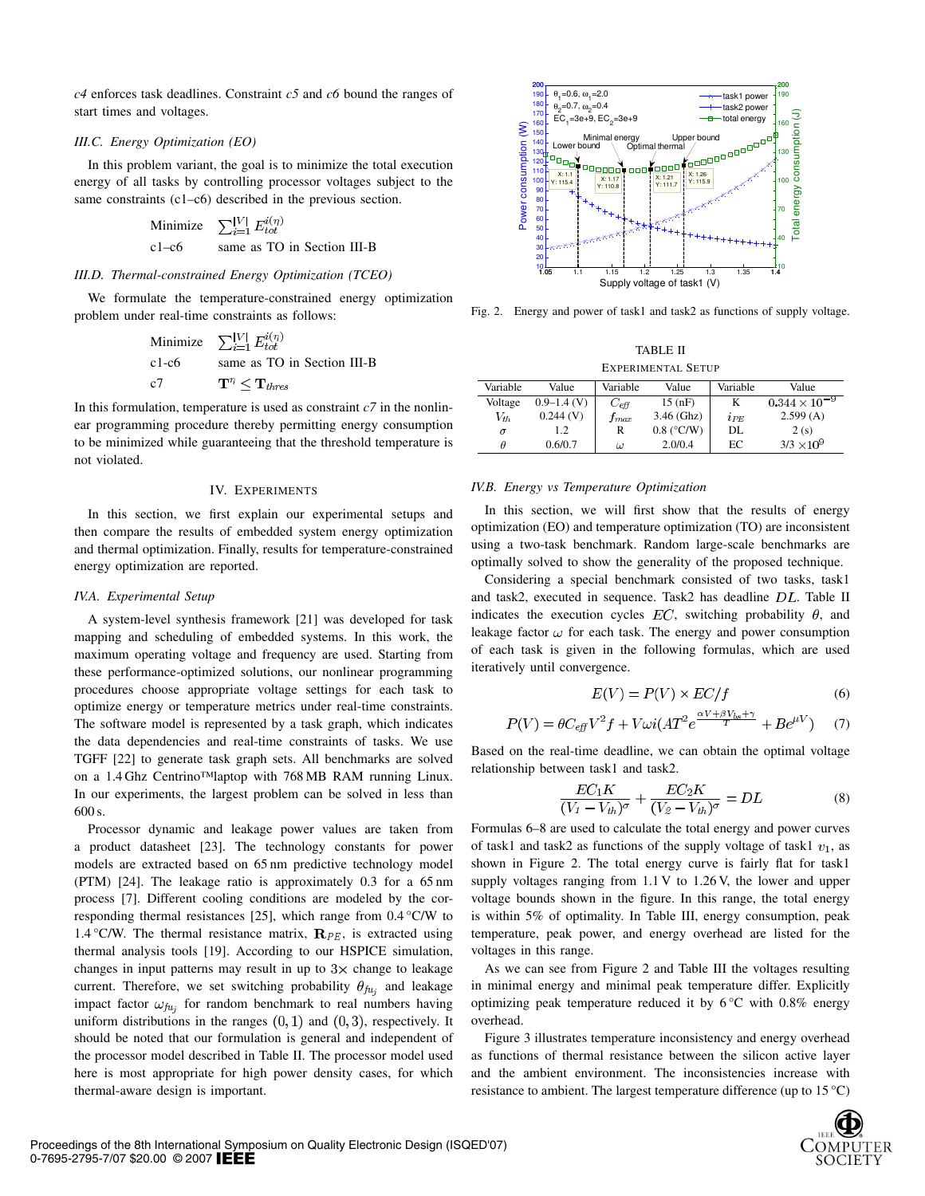*c4* enforces task deadlines. Constraint *c5* and *c6* bound the ranges of start times and voltages.

# *III.C. Energy Optimization (EO)*

In this problem variant, the goal is to minimize the total execution energy of all tasks by controlling processor voltages subject to the same constraints (c1–c6) described in the previous section.

> $\sum_{i=1}^{|V|} E_{tot}^{i(\eta)}$ Minimize c1–c6 same as TO in Section III-B

## *III.D. Thermal-constrained Energy Optimization (TCEO)*

We formulate the temperature-constrained energy optimization problem under real-time constraints as follows:

|         | Minimize $\sum_{i=1}^{ V } E_{tot}^{i(\eta)}$ |
|---------|-----------------------------------------------|
| $c1-c6$ | same as TO in Section III-B                   |
| c7      | $\mathbf{T}^{\eta} < \mathbf{T}_{thres}$      |

In this formulation, temperature is used as constraint  $c7$  in the nonlinear programming procedure thereby permitting energy consumption to be minimized while guaranteeing that the threshold temperature is not violated.

# IV. EXPERIMENTS

In this section, we first explain our experimental setups and then compare the results of embedded system energy optimization and thermal optimization. Finally, results for temperature-constrained energy optimization are reported.

#### *IV.A. Experimental Setup*

A system-level synthesis framework [21] was developed for task mapping and scheduling of embedded systems. In this work, the maximum operating voltage and frequency are used. Starting from these performance-optimized solutions, our nonlinear programming procedures choose appropriate voltage settings for each task to optimize energy or temperature metrics under real-time constraints. The software model is represented by a task graph, which indicates the data dependencies and real-time constraints of tasks. We use TGFF [22] to generate task graph sets. All benchmarks are solved on a 1.4 Ghz Centrino™laptop with 768 MB RAM running Linux. In our experiments, the largest problem can be solved in less than 600 s.

Processor dynamic and leakage power values are taken from a product datasheet [23]. The technology constants for power models are extracted based on 65 nm predictive technology model (PTM) [24]. The leakage ratio is approximately 0.3 for a 65 nm process [7]. Different cooling conditions are modeled by the corresponding thermal resistances [25], which range from 0.4 °C/W to 1.4 °C/W. The thermal resistance matrix,  $\mathbf{R}_{PE}$ , is extracted using thermal analysis tools [19]. According to our HSPICE simulation, changes in input patterns may result in up to  $3\times$  change to leakage current. Therefore, we set switching probability  $\theta_{f u_i}$  and leakage impact factor  $\omega_{fu_i}$  for random benchmark to real numbers having uniform distributions in the ranges  $(0, 1)$  and  $(0, 3)$ , respectively. It should be noted that our formulation is general and independent of the processor model described in Table II. The processor model used here is most appropriate for high power density cases, for which thermal-aware design is important.



Fig. 2. Energy and power of task1 and task2 as functions of supply voltage.

TABLE II EXPERIMENTAL SETUP

| Variable | Value           | Variable      | Value                  | Variable | Value                  |
|----------|-----------------|---------------|------------------------|----------|------------------------|
| Voltage  | $0.9 - 1.4$ (V) | $C_{\it eff}$ | 15(nF)                 | K        | $0.344 \times 10^{-9}$ |
| $V_{th}$ | 0.244(V)        | $_{\it{max}}$ | $3.46$ (Ghz)           | $i_{PE}$ | 2.599(A)               |
| $\sigma$ | 1.2             | R             | $0.8$ ( $\degree$ C/W) | DL       | 2(s)                   |
| θ        | 0.6/0.7         | $\omega$      | 2.0/0.4                | ЕC       | $3/3 \times 10^{9}$    |

## *IV.B. Energy vs Temperature Optimization*

In this section, we will first show that the results of energy optimization (EO) and temperature optimization (TO) are inconsistent using a two-task benchmark. Random large-scale benchmarks are optimally solved to show the generality of the proposed technique.

Considering a special benchmark consisted of two tasks, task1 and task2, executed in sequence. Task2 has deadline  $DL$ . Table II indicates the execution cycles  $EC$ , switching probability  $\theta$ , and leakage factor  $\omega$  for each task. The energy and power consumption of each task is given in the following formulas, which are used iteratively until convergence.

$$
E(V) = P(V) \times EC/f \tag{6}
$$

$$
P(V) = \theta C_{\text{eff}} V^2 f + V \omega i (AT^2 e^{\frac{\alpha V + \beta V_{bs} + \gamma}{T}} + B e^{\mu V}) \tag{7}
$$

Based on the real-time deadline, we can obtain the optimal voltage relationship between task1 and task2.

$$
\frac{EC_1K}{(V_1 - V_{th})^\sigma} + \frac{EC_2K}{(V_2 - V_{th})^\sigma} = DL \tag{8}
$$

Formulas 6–8 are used to calculate the total energy and power curves of task1 and task2 as functions of the supply voltage of task1  $v_1$ , as shown in Figure 2. The total energy curve is fairly flat for task1 supply voltages ranging from 1.1 V to 1.26 V, the lower and upper voltage bounds shown in the figure. In this range, the total energy is within 5% of optimality. In Table III, energy consumption, peak temperature, peak power, and energy overhead are listed for the voltages in this range.

As we can see from Figure 2 and Table III the voltages resulting in minimal energy and minimal peak temperature differ. Explicitly optimizing peak temperature reduced it by  $6^{\circ}$ C with 0.8% energy overhead.

Figure 3 illustrates temperature inconsistency and energy overhead as functions of thermal resistance between the silicon active layer and the ambient environment. The inconsistencies increase with resistance to ambient. The largest temperature difference (up to  $15^{\circ}$ C)

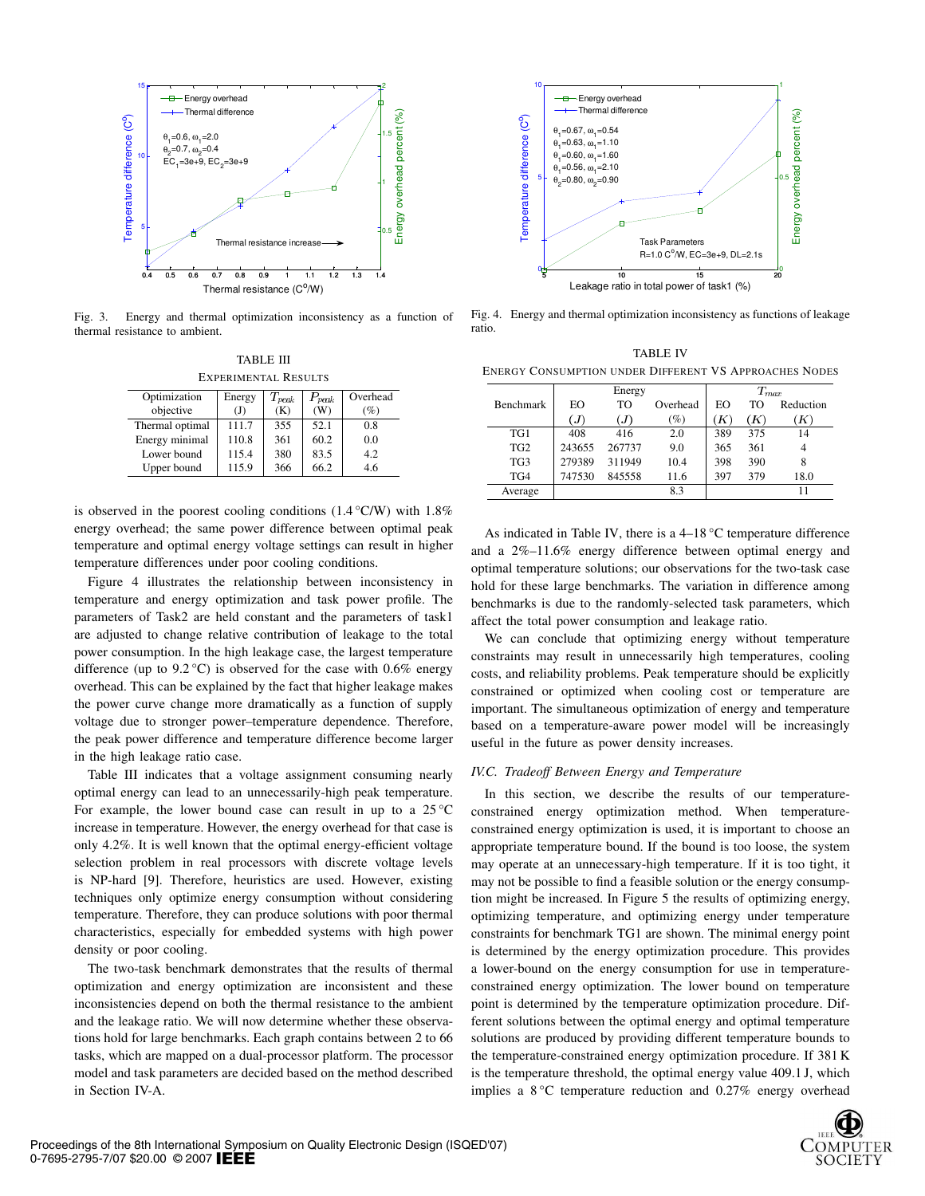

Fig. 3. Energy and thermal optimization inconsistency as a function of thermal resistance to ambient.

TABLE III EXPERIMENTAL RESULTS Optimization Energy  $T_{neab}$   $P_{neab}$  Overhead

| objective       | ັ<br>(J) | -----<br>(K) | -----<br>(W) | (%) |
|-----------------|----------|--------------|--------------|-----|
| Thermal optimal | 111.7    | 355          | 52.1         | 0.8 |
| Energy minimal  | 110.8    | 361          | 60.2         | 0.0 |
| Lower bound     | 115.4    | 380          | 83.5         | 4.2 |
| Upper bound     | 115.9    | 366          | 66.2         | 4.6 |

is observed in the poorest cooling conditions  $(1.4 \degree \text{C/W})$  with  $1.8\%$ energy overhead; the same power difference between optimal peak temperature and optimal energy voltage settings can result in higher temperature differences under poor cooling conditions.

Figure 4 illustrates the relationship between inconsistency in temperature and energy optimization and task power profile. The parameters of Task2 are held constant and the parameters of task1 are adjusted to change relative contribution of leakage to the total power consumption. In the high leakage case, the largest temperature difference (up to  $9.2 \degree C$ ) is observed for the case with 0.6% energy overhead. This can be explained by the fact that higher leakage makes the power curve change more dramatically as a function of supply voltage due to stronger power–temperature dependence. Therefore, the peak power difference and temperature difference become larger in the high leakage ratio case.

Table III indicates that a voltage assignment consuming nearly optimal energy can lead to an unnecessarily-high peak temperature. For example, the lower bound case can result in up to a  $25^{\circ}$ C increase in temperature. However, the energy overhead for that case is only 4.2%. It is well known that the optimal energy-efficient voltage selection problem in real processors with discrete voltage levels is NP-hard [9]. Therefore, heuristics are used. However, existing techniques only optimize energy consumption without considering temperature. Therefore, they can produce solutions with poor thermal characteristics, especially for embedded systems with high power density or poor cooling.

The two-task benchmark demonstrates that the results of thermal optimization and energy optimization are inconsistent and these inconsistencies depend on both the thermal resistance to the ambient and the leakage ratio. We will now determine whether these observations hold for large benchmarks. Each graph contains between 2 to 66 tasks, which are mapped on a dual-processor platform. The processor model and task parameters are decided based on the method described in Section IV-A.



Fig. 4. Energy and thermal optimization inconsistency as functions of leakage ratio.

|                                                        | <b>TABLE IV</b> |  |
|--------------------------------------------------------|-----------------|--|
| ENERGY CONSUMPTION UNDER DIFFERENT VS APPROACHES NODES |                 |  |

|                  |        | Energy |          |     | $T_{\mathit{max}}$  |           |
|------------------|--------|--------|----------|-----|---------------------|-----------|
| <b>Benchmark</b> | EO     | TO     | Overhead | EΩ  | TО                  | Reduction |
|                  | (J)    | J)     | (%)      | Κ   | $\langle K \rangle$ | 'K)       |
| TG1              | 408    | 416    | 2.0      | 389 | 375                 | 14        |
| TG <sub>2</sub>  | 243655 | 267737 | 9.0      | 365 | 361                 | 4         |
| TG <sub>3</sub>  | 279389 | 311949 | 10.4     | 398 | 390                 | 8         |
| TG4              | 747530 | 845558 | 11.6     | 397 | 379                 | 18.0      |
| Average          |        |        | 8.3      |     |                     | 11        |

As indicated in Table IV, there is a 4–18 °C temperature difference and a 2%–11.6% energy difference between optimal energy and optimal temperature solutions; our observations for the two-task case hold for these large benchmarks. The variation in difference among benchmarks is due to the randomly-selected task parameters, which affect the total power consumption and leakage ratio.

We can conclude that optimizing energy without temperature constraints may result in unnecessarily high temperatures, cooling costs, and reliability problems. Peak temperature should be explicitly constrained or optimized when cooling cost or temperature are important. The simultaneous optimization of energy and temperature based on a temperature-aware power model will be increasingly useful in the future as power density increases.

## *IV.C. Tradeoff Between Energy and Temperature*

In this section, we describe the results of our temperatureconstrained energy optimization method. When temperatureconstrained energy optimization is used, it is important to choose an appropriate temperature bound. If the bound is too loose, the system may operate at an unnecessary-high temperature. If it is too tight, it may not be possible to find a feasible solution or the energy consumption might be increased. In Figure 5 the results of optimizing energy, optimizing temperature, and optimizing energy under temperature constraints for benchmark TG1 are shown. The minimal energy point is determined by the energy optimization procedure. This provides a lower-bound on the energy consumption for use in temperatureconstrained energy optimization. The lower bound on temperature point is determined by the temperature optimization procedure. Different solutions between the optimal energy and optimal temperature solutions are produced by providing different temperature bounds to the temperature-constrained energy optimization procedure. If 381 K is the temperature threshold, the optimal energy value 409.1 J, which implies a  $8^{\circ}$ C temperature reduction and 0.27% energy overhead